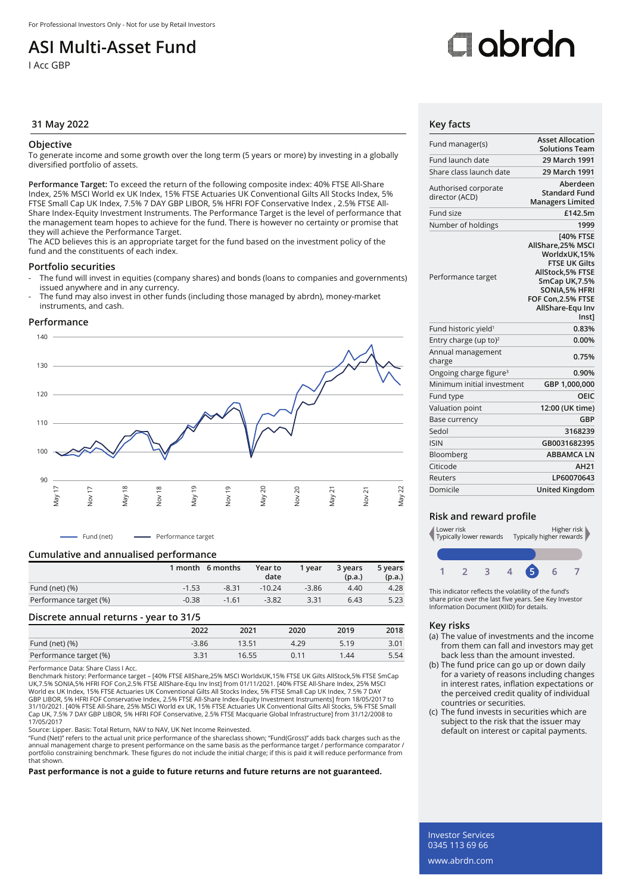## **ASI Multi-Asset Fund**

I Acc GBP

# Oobrdo

### **31 May 2022 Key facts**

### **Objective**

To generate income and some growth over the long term (5 years or more) by investing in a globally diversified portfolio of assets.

**Performance Target:** To exceed the return of the following composite index: 40% FTSE All-Share Index, 25% MSCI World ex UK Index, 15% FTSE Actuaries UK Conventional Gilts All Stocks Index, 5% FTSE Small Cap UK Index, 7.5% 7 DAY GBP LIBOR, 5% HFRI FOF Conservative Index , 2.5% FTSE All-Share Index-Equity Investment Instruments. The Performance Target is the level of performance that the management team hopes to achieve for the fund. There is however no certainty or promise that they will achieve the Performance Target.

The ACD believes this is an appropriate target for the fund based on the investment policy of the fund and the constituents of each index.

### **Portfolio securities**

- The fund will invest in equities (company shares) and bonds (loans to companies and governments) issued anywhere and in any currency.
- The fund may also invest in other funds (including those managed by abrdn), money-market instruments, and cash.

### **Performance**



- Fund (net) - Performance target

### **Cumulative and annualised performance**

|                        |         | 1 month 6 months | Year to<br>date | 1 vear  | 3 years<br>(p.a.) | 5 years<br>(p.a.) |
|------------------------|---------|------------------|-----------------|---------|-------------------|-------------------|
| Fund (net) $(\%)$      | $-1.53$ | $-8.31$          | $-10.24$        | $-3.86$ | 4.40              | 4.28              |
| Performance target (%) | $-0.38$ | $-1.61$          | $-3.82$         | 3.31    | 6.43              | 5.23              |

### **Discrete annual returns - year to 31/5**

|                        | 2022    | 2021  | 2020 | 2019 | 2018 |
|------------------------|---------|-------|------|------|------|
| Fund (net) (%)         | $-3.86$ | 13.51 | 4.29 | 5.19 | 3.01 |
| Performance target (%) | 3.31    | 16.55 | 0.11 | 1.44 | 5.54 |

Performance Data: Share Class I Acc.

Benchmark history: Performance target – [40% FTSE AllShare,25% MSCI WorldxUK,15% FTSE UK Gilts AllStock,5% FTSE SmCap UK,7.5% SONIA,5% HFRI FOF Con,2.5% FTSE AllShare-Equ Inv Inst] from 01/11/2021. [40% FTSE All-Share Index, 25% MSCI<br>World ex UK Index, 15% FTSE Actuaries UK Conventional Gilts All Stocks Index, 5% FTSE Small Cap UK Index, GBP LIBOR, 5% HFRI FOF Conservative Index, 2.5% FTSE All-Share Index-Equity Investment Instruments] from 18/05/2017 to<br>31/10/2021. [40% FTSE All-Share, 25% MSCI World ex UK, 15% FTSE Actuaries UK Conventional Gilts All Sto Cap UK, 7.5% 7 DAY GBP LIBOR, 5% HFRI FOF Conservative, 2.5% FTSE Macquarie Global Infrastructure] from 31/12/2008 to 17/05/2017

Source: Lipper. Basis: Total Return, NAV to NAV, UK Net Income Reinvested.

"Fund (Net)" refers to the actual unit price performance of the shareclass shown; "Fund(Gross)" adds back charges such as the<br>annual management charge to present performance on the same basis as the performance target / pe portfolio constraining benchmark. These figures do not include the initial charge; if this is paid it will reduce performance from that shown.

**Past performance is not a guide to future returns and future returns are not guaranteed.**

| Fund manager(s)                        | <b>Asset Allocation</b><br><b>Solutions Team</b>                                                                                                                                   |
|----------------------------------------|------------------------------------------------------------------------------------------------------------------------------------------------------------------------------------|
| Fund launch date                       | 29 March 1991                                                                                                                                                                      |
| Share class launch date                | 29 March 1991                                                                                                                                                                      |
| Authorised corporate<br>director (ACD) | Aberdeen<br><b>Standard Fund</b><br><b>Managers Limited</b>                                                                                                                        |
| Fund size                              | £142.5m                                                                                                                                                                            |
| Number of holdings                     | 1999                                                                                                                                                                               |
| Performance target                     | [40% FTSE<br>AllShare, 25% MSCI<br>WorldxUK,15%<br><b>FTSE UK Gilts</b><br>AllStock.5% FTSE<br>SmCap UK, 7.5%<br>SONIA, 5% HFRI<br>FOF Con, 2.5% FTSE<br>AllShare-Equ Inv<br>Inst1 |
| Fund historic yield <sup>1</sup>       | 0.83%                                                                                                                                                                              |
| Entry charge (up to) <sup>2</sup>      | 0.00%                                                                                                                                                                              |
| Annual management<br>charge            | 0.75%                                                                                                                                                                              |
| Ongoing charge figure <sup>3</sup>     | 0.90%                                                                                                                                                                              |
| Minimum initial investment             | GBP 1,000,000                                                                                                                                                                      |
| Fund type                              | OEIC                                                                                                                                                                               |
| Valuation point                        | 12:00 (UK time)                                                                                                                                                                    |
| Base currency                          | GBP                                                                                                                                                                                |
| Sedol                                  | 3168239                                                                                                                                                                            |
| <b>ISIN</b>                            | GB0031682395                                                                                                                                                                       |
| Bloomberg                              | <b>ABBAMCALN</b>                                                                                                                                                                   |
| Citicode                               | <b>AH21</b>                                                                                                                                                                        |
| Reuters                                | LP60070643                                                                                                                                                                         |
| Domicile                               | <b>United Kingdom</b>                                                                                                                                                              |
|                                        |                                                                                                                                                                                    |

### **Risk and reward profile**



This indicator reflects the volatility of the fund's share price over the last five years. See Key Investor Information Document (KIID) for details.

### **Key risks**

- (a) The value of investments and the income from them can fall and investors may get back less than the amount invested.
- (b) The fund price can go up or down daily for a variety of reasons including changes in interest rates, inflation expectations or the perceived credit quality of individual countries or securities.
- (c) The fund invests in securities which are subject to the risk that the issuer may default on interest or capital payments.

Investor Services 0345 113 69 66 www.abrdn.com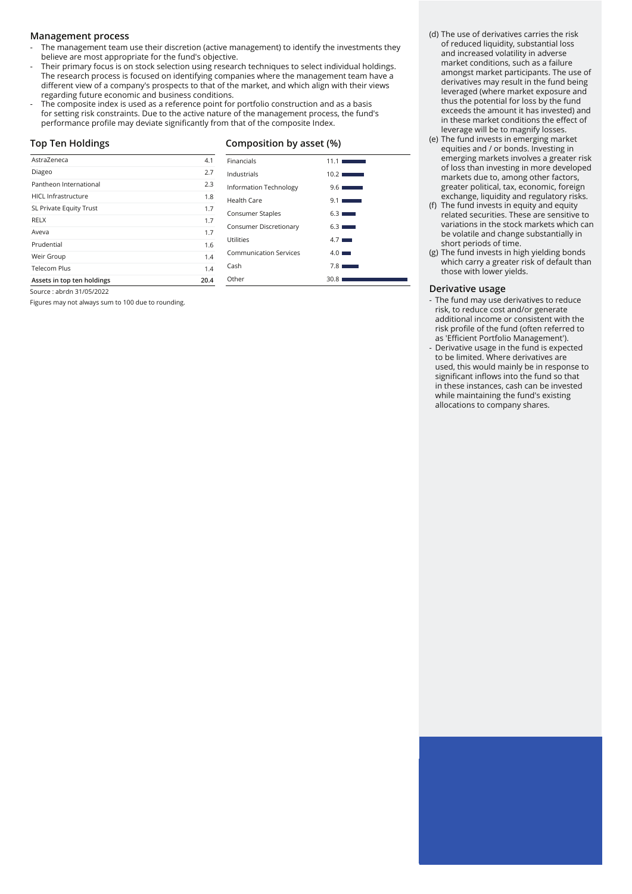### **Management process**

- The management team use their discretion (active management) to identify the investments they believe are most appropriate for the fund's objective.
- Their primary focus is on stock selection using research techniques to select individual holdings. The research process is focused on identifying companies where the management team have a different view of a company's prospects to that of the market, and which align with their views regarding future economic and business conditions.
- The composite index is used as a reference point for portfolio construction and as a basis for setting risk constraints. Due to the active nature of the management process, the fund's performance profile may deviate significantly from that of the composite Index.

### **Top Ten Holdings**

Source : abrdn 31/05/2022

### **Composition by asset (%)**

| AstraZeneca                | 4.1  |
|----------------------------|------|
| Diageo                     | 2.7  |
| Pantheon International     | 2.3  |
| <b>HICL Infrastructure</b> | 1.8  |
| SL Private Equity Trust    | 1.7  |
| <b>RELX</b>                | 1.7  |
| Aveva                      | 1.7  |
| Prudential                 | 1.6  |
| Weir Group                 | 1.4  |
| Telecom Plus               | 1.4  |
| Assets in top ten holdings | 20.4 |

Figures may not always sum to 100 due to rounding.

| Financials                    | 11.1 <sub>1</sub><br><b>Service Control</b> |
|-------------------------------|---------------------------------------------|
| Industrials                   | 10.2                                        |
| Information Technology        | $9.6$ $\blacksquare$                        |
| Health Care                   | 9.11<br><b>Contract Contract</b>            |
| Consumer Staples              | 6.31<br><b>STATISTICS</b>                   |
| Consumer Discretionary        | $6.3$ $\blacksquare$                        |
| Utilities                     | $4.7 \blacksquare$                          |
| <b>Communication Services</b> | $4.0 \blacksquare$                          |
| Cash                          | 7.8                                         |
| Other                         | 30.8                                        |

(d) The use of derivatives carries the risk of reduced liquidity, substantial loss and increased volatility in adverse market conditions, such as a failure amongst market participants. The use of derivatives may result in the fund being leveraged (where market exposure and thus the potential for loss by the fund exceeds the amount it has invested) and in these market conditions the effect of leverage will be to magnify losses.

- (e) The fund invests in emerging market equities and / or bonds. Investing in emerging markets involves a greater risk of loss than investing in more developed markets due to, among other factors, greater political, tax, economic, foreign exchange, liquidity and regulatory risks.
- (f) The fund invests in equity and equity related securities. These are sensitive to variations in the stock markets which can be volatile and change substantially in short periods of time.
- (g) The fund invests in high yielding bonds which carry a greater risk of default than those with lower yields.

### **Derivative usage**

- The fund may use derivatives to reduce risk, to reduce cost and/or generate additional income or consistent with the risk profile of the fund (often referred to as 'Efficient Portfolio Management').
- Derivative usage in the fund is expected to be limited. Where derivatives are used, this would mainly be in response to significant inflows into the fund so that in these instances, cash can be invested while maintaining the fund's existing allocations to company shares.